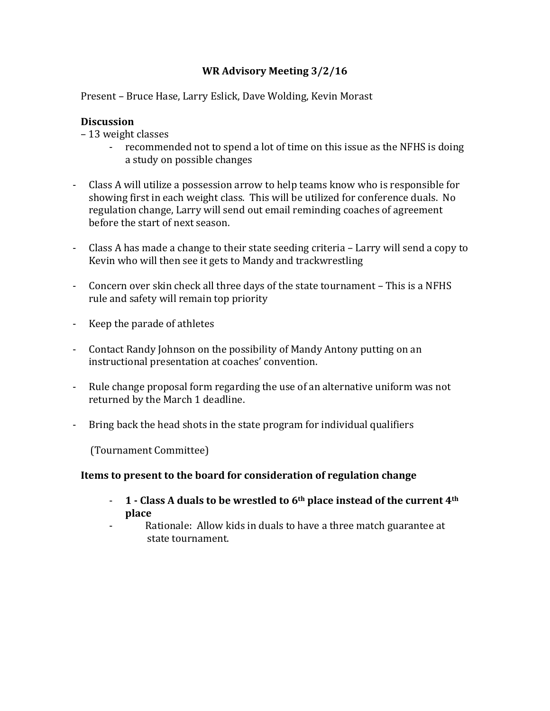# **WR Advisory Meeting 3/2/16**

Present – Bruce Hase, Larry Eslick, Dave Wolding, Kevin Morast

# **Discussion**

– 13 weight classes

- recommended not to spend a lot of time on this issue as the NFHS is doing a study on possible changes
- Class A will utilize a possession arrow to help teams know who is responsible for showing first in each weight class. This will be utilized for conference duals. No regulation change, Larry will send out email reminding coaches of agreement before the start of next season.
- Class A has made a change to their state seeding criteria Larry will send a copy to Kevin who will then see it gets to Mandy and trackwrestling
- Concern over skin check all three days of the state tournament This is a NFHS rule and safety will remain top priority
- Keep the parade of athletes
- Contact Randy Johnson on the possibility of Mandy Antony putting on an instructional presentation at coaches' convention.
- Rule change proposal form regarding the use of an alternative uniform was not returned by the March 1 deadline.
- Bring back the head shots in the state program for individual qualifiers

 (Tournament Committee)

## **Items to present to the board for consideration of regulation change**

- **1 - Class A duals to be wrestled to 6th place instead of the current 4th place**
- Rationale: Allow kids in duals to have a three match guarantee at state tournament.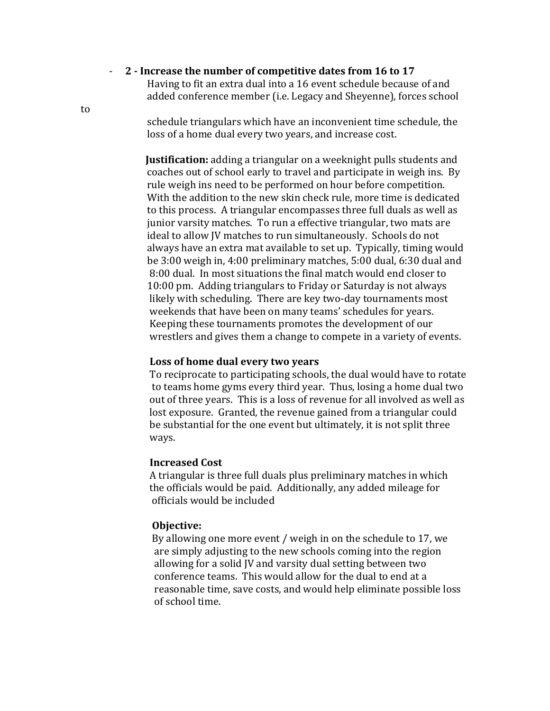- 2 - Increase the number of competitive dates from 16 to 17

Having to fit an extra dual into a 16 event schedule because of and added conference member (i.e. Legacy and Sheyenne), forces school

to 

schedule triangulars which have an inconvenient time schedule, the loss of a home dual every two years, and increase cost.

**Justification:** adding a triangular on a weeknight pulls students and coaches out of school early to travel and participate in weigh ins. By rule weigh ins need to be performed on hour before competition. With the addition to the new skin check rule, more time is dedicated to this process. A triangular encompasses three full duals as well as junior varsity matches. To run a effective triangular, two mats are ideal to allow JV matches to run simultaneously. Schools do not always have an extra mat available to set up. Typically, timing would be 3:00 weigh in, 4:00 preliminary matches, 5:00 dual, 6:30 dual and 8:00 dual. In most situations the final match would end closer to 10:00 pm. Adding triangulars to Friday or Saturday is not always likely with scheduling. There are key two-day tournaments most weekends that have been on many teams' schedules for years. Keeping these tournaments promotes the development of our wrestlers and gives them a change to compete in a variety of events.

### Loss of home dual every two vears

To reciprocate to participating schools, the dual would have to rotate to teams home gyms every third year. Thus, losing a home dual two out of three years. This is a loss of revenue for all involved as well as lost exposure. Granted, the revenue gained from a triangular could be substantial for the one event but ultimately, it is not split three ways.

#### **Increased Cost**

A triangular is three full duals plus preliminary matches in which the officials would be paid. Additionally, any added mileage for officials would be included

#### **Objective:**

By allowing one more event / weigh in on the schedule to 17, we are simply adjusting to the new schools coming into the region allowing for a solid IV and varsity dual setting between two conference teams. This would allow for the dual to end at a reasonable time, save costs, and would help eliminate possible loss of school time.